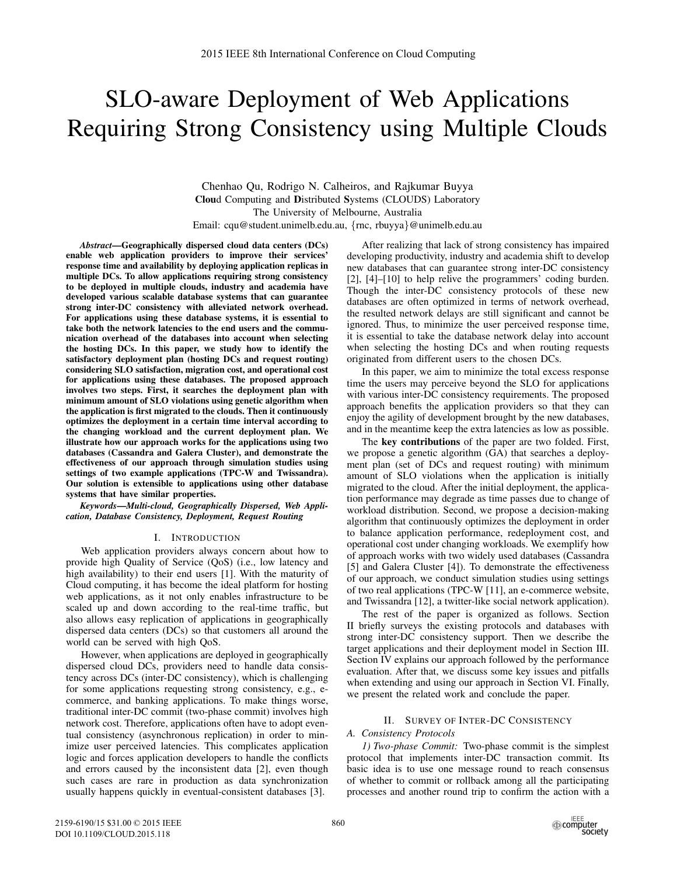# SLO-aware Deployment of Web Applications Requiring Strong Consistency using Multiple Clouds

Chenhao Qu, Rodrigo N. Calheiros, and Rajkumar Buyya Cloud Computing and Distributed Systems (CLOUDS) Laboratory The University of Melbourne, Australia Email: cqu@student.unimelb.edu.au, {rnc, rbuyya}@unimelb.edu.au

*Abstract*—Geographically dispersed cloud data centers (DCs) enable web application providers to improve their services' response time and availability by deploying application replicas in multiple DCs. To allow applications requiring strong consistency to be deployed in multiple clouds, industry and academia have developed various scalable database systems that can guarantee strong inter-DC consistency with alleviated network overhead. For applications using these database systems, it is essential to take both the network latencies to the end users and the communication overhead of the databases into account when selecting the hosting DCs. In this paper, we study how to identify the satisfactory deployment plan (hosting DCs and request routing) considering SLO satisfaction, migration cost, and operational cost for applications using these databases. The proposed approach involves two steps. First, it searches the deployment plan with minimum amount of SLO violations using genetic algorithm when the application is first migrated to the clouds. Then it continuously optimizes the deployment in a certain time interval according to the changing workload and the current deployment plan. We illustrate how our approach works for the applications using two databases (Cassandra and Galera Cluster), and demonstrate the effectiveness of our approach through simulation studies using settings of two example applications (TPC-W and Twissandra). Our solution is extensible to applications using other database systems that have similar properties.

*Keywords*—*Multi-cloud, Geographically Dispersed, Web Application, Database Consistency, Deployment, Request Routing*

## I. INTRODUCTION

Web application providers always concern about how to provide high Quality of Service (QoS) (i.e., low latency and high availability) to their end users [1]. With the maturity of Cloud computing, it has become the ideal platform for hosting web applications, as it not only enables infrastructure to be scaled up and down according to the real-time traffic, but also allows easy replication of applications in geographically dispersed data centers (DCs) so that customers all around the world can be served with high QoS.

However, when applications are deployed in geographically dispersed cloud DCs, providers need to handle data consistency across DCs (inter-DC consistency), which is challenging for some applications requesting strong consistency, e.g., ecommerce, and banking applications. To make things worse, traditional inter-DC commit (two-phase commit) involves high network cost. Therefore, applications often have to adopt eventual consistency (asynchronous replication) in order to minimize user perceived latencies. This complicates application logic and forces application developers to handle the conflicts and errors caused by the inconsistent data [2], even though such cases are rare in production as data synchronization usually happens quickly in eventual-consistent databases [3].

After realizing that lack of strong consistency has impaired developing productivity, industry and academia shift to develop new databases that can guarantee strong inter-DC consistency [2], [4]–[10] to help relive the programmers' coding burden. Though the inter-DC consistency protocols of these new databases are often optimized in terms of network overhead, the resulted network delays are still significant and cannot be ignored. Thus, to minimize the user perceived response time, it is essential to take the database network delay into account when selecting the hosting DCs and when routing requests originated from different users to the chosen DCs.

In this paper, we aim to minimize the total excess response time the users may perceive beyond the SLO for applications with various inter-DC consistency requirements. The proposed approach benefits the application providers so that they can enjoy the agility of development brought by the new databases, and in the meantime keep the extra latencies as low as possible.

The key contributions of the paper are two folded. First, we propose a genetic algorithm (GA) that searches a deployment plan (set of DCs and request routing) with minimum amount of SLO violations when the application is initially migrated to the cloud. After the initial deployment, the application performance may degrade as time passes due to change of workload distribution. Second, we propose a decision-making algorithm that continuously optimizes the deployment in order to balance application performance, redeployment cost, and operational cost under changing workloads. We exemplify how of approach works with two widely used databases (Cassandra [5] and Galera Cluster [4]). To demonstrate the effectiveness of our approach, we conduct simulation studies using settings of two real applications (TPC-W [11], an e-commerce website, and Twissandra [12], a twitter-like social network application).

The rest of the paper is organized as follows. Section II briefly surveys the existing protocols and databases with strong inter-DC consistency support. Then we describe the target applications and their deployment model in Section III. Section IV explains our approach followed by the performance evaluation. After that, we discuss some key issues and pitfalls when extending and using our approach in Section VI. Finally, we present the related work and conclude the paper.

#### II. SURVEY OF INTER-DC CONSISTENCY

# *A. Consistency Protocols*

*1) Two-phase Commit:* Two-phase commit is the simplest protocol that implements inter-DC transaction commit. Its basic idea is to use one message round to reach consensus of whether to commit or rollback among all the participating processes and another round trip to confirm the action with a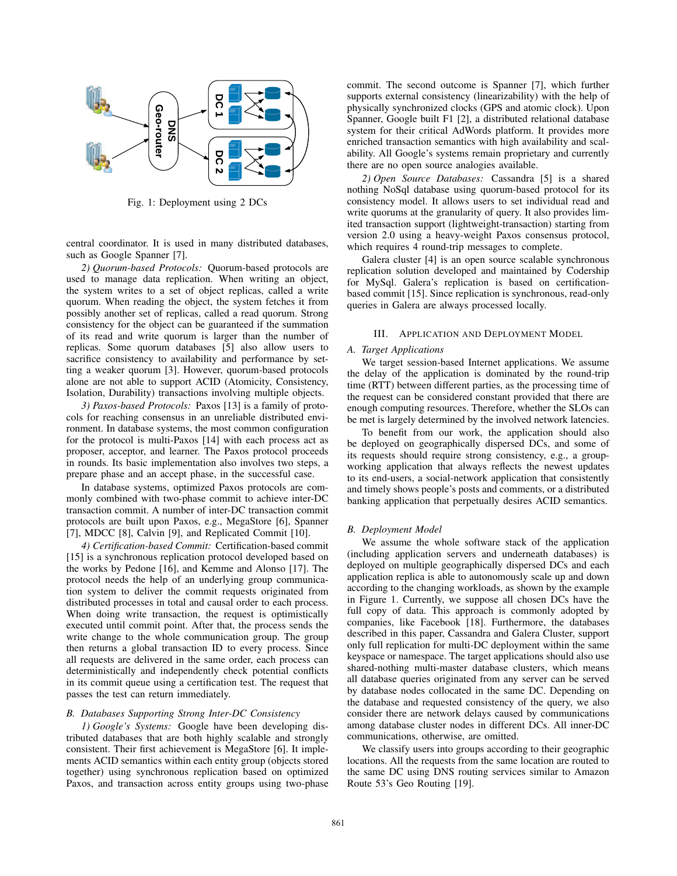

Fig. 1: Deployment using 2 DCs

central coordinator. It is used in many distributed databases, such as Google Spanner [7].

*2) Quorum-based Protocols:* Quorum-based protocols are used to manage data replication. When writing an object, the system writes to a set of object replicas, called a write quorum. When reading the object, the system fetches it from possibly another set of replicas, called a read quorum. Strong consistency for the object can be guaranteed if the summation of its read and write quorum is larger than the number of replicas. Some quorum databases [5] also allow users to sacrifice consistency to availability and performance by setting a weaker quorum [3]. However, quorum-based protocols alone are not able to support ACID (Atomicity, Consistency, Isolation, Durability) transactions involving multiple objects.

*3) Paxos-based Protocols:* Paxos [13] is a family of protocols for reaching consensus in an unreliable distributed environment. In database systems, the most common configuration for the protocol is multi-Paxos [14] with each process act as proposer, acceptor, and learner. The Paxos protocol proceeds in rounds. Its basic implementation also involves two steps, a prepare phase and an accept phase, in the successful case.

In database systems, optimized Paxos protocols are commonly combined with two-phase commit to achieve inter-DC transaction commit. A number of inter-DC transaction commit protocols are built upon Paxos, e.g., MegaStore [6], Spanner [7], MDCC [8], Calvin [9], and Replicated Commit [10].

*4) Certification-based Commit:* Certification-based commit [15] is a synchronous replication protocol developed based on the works by Pedone [16], and Kemme and Alonso [17]. The protocol needs the help of an underlying group communication system to deliver the commit requests originated from distributed processes in total and causal order to each process. When doing write transaction, the request is optimistically executed until commit point. After that, the process sends the write change to the whole communication group. The group then returns a global transaction ID to every process. Since all requests are delivered in the same order, each process can deterministically and independently check potential conflicts in its commit queue using a certification test. The request that passes the test can return immediately.

# *B. Databases Supporting Strong Inter-DC Consistency*

*1) Google's Systems:* Google have been developing distributed databases that are both highly scalable and strongly consistent. Their first achievement is MegaStore [6]. It implements ACID semantics within each entity group (objects stored together) using synchronous replication based on optimized Paxos, and transaction across entity groups using two-phase commit. The second outcome is Spanner [7], which further supports external consistency (linearizability) with the help of physically synchronized clocks (GPS and atomic clock). Upon Spanner, Google built F1 [2], a distributed relational database system for their critical AdWords platform. It provides more enriched transaction semantics with high availability and scalability. All Google's systems remain proprietary and currently there are no open source analogies available.

*2) Open Source Databases:* Cassandra [5] is a shared nothing NoSql database using quorum-based protocol for its consistency model. It allows users to set individual read and write quorums at the granularity of query. It also provides limited transaction support (lightweight-transaction) starting from version 2.0 using a heavy-weight Paxos consensus protocol, which requires 4 round-trip messages to complete.

Galera cluster [4] is an open source scalable synchronous replication solution developed and maintained by Codership for MySql. Galera's replication is based on certificationbased commit [15]. Since replication is synchronous, read-only queries in Galera are always processed locally.

#### III. APPLICATION AND DEPLOYMENT MODEL

#### *A. Target Applications*

We target session-based Internet applications. We assume the delay of the application is dominated by the round-trip time (RTT) between different parties, as the processing time of the request can be considered constant provided that there are enough computing resources. Therefore, whether the SLOs can be met is largely determined by the involved network latencies.

To benefit from our work, the application should also be deployed on geographically dispersed DCs, and some of its requests should require strong consistency, e.g., a groupworking application that always reflects the newest updates to its end-users, a social-network application that consistently and timely shows people's posts and comments, or a distributed banking application that perpetually desires ACID semantics.

# *B. Deployment Model*

We assume the whole software stack of the application (including application servers and underneath databases) is deployed on multiple geographically dispersed DCs and each application replica is able to autonomously scale up and down according to the changing workloads, as shown by the example in Figure 1. Currently, we suppose all chosen DCs have the full copy of data. This approach is commonly adopted by companies, like Facebook [18]. Furthermore, the databases described in this paper, Cassandra and Galera Cluster, support only full replication for multi-DC deployment within the same keyspace or namespace. The target applications should also use shared-nothing multi-master database clusters, which means all database queries originated from any server can be served by database nodes collocated in the same DC. Depending on the database and requested consistency of the query, we also consider there are network delays caused by communications among database cluster nodes in different DCs. All inner-DC communications, otherwise, are omitted.

We classify users into groups according to their geographic locations. All the requests from the same location are routed to the same DC using DNS routing services similar to Amazon Route 53's Geo Routing [19].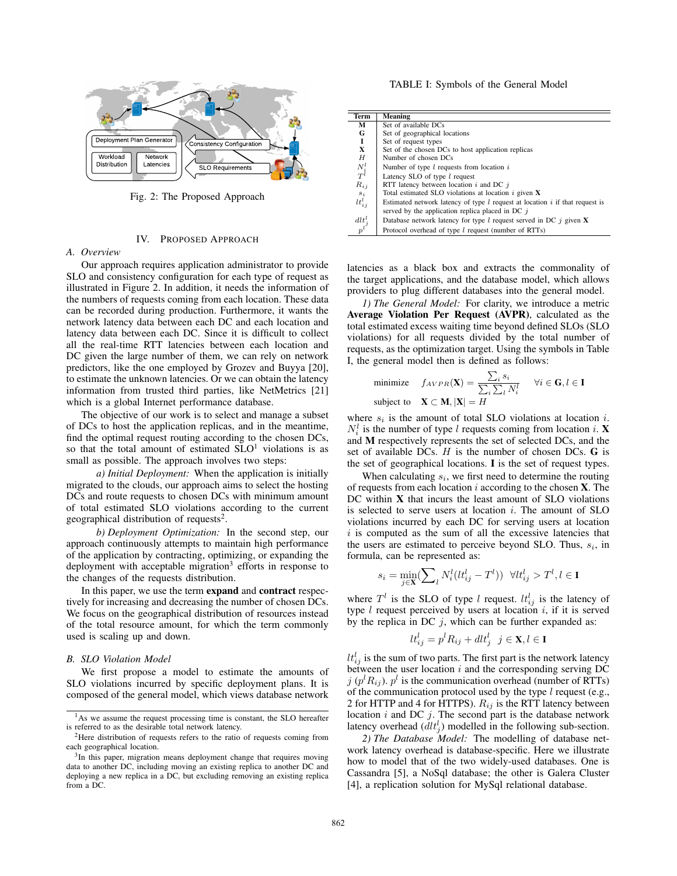

Fig. 2: The Proposed Approach

## IV. PROPOSED APPROACH

# *A. Overview*

Our approach requires application administrator to provide SLO and consistency configuration for each type of request as illustrated in Figure 2. In addition, it needs the information of the numbers of requests coming from each location. These data can be recorded during production. Furthermore, it wants the network latency data between each DC and each location and latency data between each DC. Since it is difficult to collect all the real-time RTT latencies between each location and DC given the large number of them, we can rely on network predictors, like the one employed by Grozev and Buyya [20], to estimate the unknown latencies. Or we can obtain the latency information from trusted third parties, like NetMetrics [21] which is a global Internet performance database.

The objective of our work is to select and manage a subset of DCs to host the application replicas, and in the meantime, find the optimal request routing according to the chosen DCs, so that the total amount of estimated  $SLO<sup>1</sup>$  violations is as small as possible. The approach involves two steps:

*a) Initial Deployment:* When the application is initially migrated to the clouds, our approach aims to select the hosting DCs and route requests to chosen DCs with minimum amount of total estimated SLO violations according to the current geographical distribution of requests<sup>2</sup>.

*b) Deployment Optimization:* In the second step, our approach continuously attempts to maintain high performance of the application by contracting, optimizing, or expanding the deployment with acceptable migration<sup>3</sup> efforts in response to the changes of the requests distribution.

In this paper, we use the term expand and contract respectively for increasing and decreasing the number of chosen DCs. We focus on the geographical distribution of resources instead of the total resource amount, for which the term commonly used is scaling up and down.

## *B. SLO Violation Model*

We first propose a model to estimate the amounts of SLO violations incurred by specific deployment plans. It is composed of the general model, which views database network

| Term                          | Meaning                                                                          |
|-------------------------------|----------------------------------------------------------------------------------|
| М                             | Set of available DCs                                                             |
| G                             | Set of geographical locations                                                    |
| 1                             | Set of request types                                                             |
| X                             | Set of the chosen DCs to host application replicas                               |
| H                             | Number of chosen DCs                                                             |
| $\frac{N_i^l}{T^l}$           | Number of type $l$ requests from location $i$                                    |
|                               | Latency SLO of type $l$ request                                                  |
| $R_{i,j}$                     | RTT latency between location $i$ and DC $j$                                      |
| $s_i$                         | Total estimated SLO violations at location $i$ given $X$                         |
| $lt_{ij}^l$                   | Estimated network latency of type $l$ request at location $i$ if that request is |
|                               | served by the application replica placed in DC $\dot{\eta}$                      |
| dlt <sub>s</sub> <sup>l</sup> | Database network latency for type l request served in DC $j$ given <b>X</b>      |
|                               | Protocol overhead of type <i>l</i> request (number of RTTs)                      |

latencies as a black box and extracts the commonality of the target applications, and the database model, which allows providers to plug different databases into the general model.

*1) The General Model:* For clarity, we introduce a metric Average Violation Per Request (AVPR), calculated as the total estimated excess waiting time beyond defined SLOs (SLO violations) for all requests divided by the total number of requests, as the optimization target. Using the symbols in Table I, the general model then is defined as follows:

minimize 
$$
f_{AVPR}(\mathbf{X}) = \frac{\sum_i s_i}{\sum_i \sum_l N_i^l}
$$
  $\forall i \in \mathbf{G}, l \in \mathbf{I}$   
subject to  $\mathbf{X} \subset \mathbf{M}, |\mathbf{X}| = H$ 

where  $s_i$  is the amount of total SLO violations at location  $i$ .  $N_i^l$  is the number of type *l* requests coming from location *i*. **X** and M respectively represents the set of selected DCs, and the set of available DCs. *H* is the number of chosen DCs. G is the set of geographical locations. I is the set of request types.

When calculating  $s_i$ , we first need to determine the routing of requests from each location *i* according to the chosen X. The DC within **X** that incurs the least amount of SLO violations is selected to serve users at location *i*. The amount of SLO violations incurred by each DC for serving users at location *i* is computed as the sum of all the excessive latencies that the users are estimated to perceive beyond SLO. Thus,  $s_i$ , in formula, can be represented as:

$$
s_i = \min_{j \in \mathbf{X}} \left( \sum_{l} N_i^l (lt_{ij}^l - T^l) \right) \ \forall lt_{ij}^l > T^l, l \in \mathbf{I}
$$

where  $T^l$  is the SLO of type *l* request.  $lt_{ij}^l$  is the latency of type *l* request perceived by users at location *i*, if it is served by the replica in DC *j*, which can be further expanded as:

$$
lt_{ij}^l = p^l R_{ij} + dl t_j^l \ \ j \in \mathbf{X}, l \in \mathbf{I}
$$

 $lt_{ij}^l$  is the sum of two parts. The first part is the network latency between the user location *i* and the corresponding serving DC *j* ( $p^l R_{ij}$ ).  $p^l$  is the communication overhead (number of RTTs) of the communication protocol used by the type *l* request (e.g., 2 for HTTP and 4 for HTTPS).  $R_{ij}$  is the RTT latency between location *i* and DC *j*. The second part is the database network latency overhead  $(dlt_j^l)$  modelled in the following sub-section.

*2) The Database Model:* The modelling of database network latency overhead is database-specific. Here we illustrate how to model that of the two widely-used databases. One is Cassandra [5], a NoSql database; the other is Galera Cluster [4], a replication solution for MySql relational database.

<sup>&</sup>lt;sup>1</sup>As we assume the request processing time is constant, the SLO hereafter is referred to as the desirable total network latency.

<sup>&</sup>lt;sup>2</sup>Here distribution of requests refers to the ratio of requests coming from each geographical location.

<sup>&</sup>lt;sup>3</sup>In this paper, migration means deployment change that requires moving data to another DC, including moving an existing replica to another DC and deploying a new replica in a DC, but excluding removing an existing replica from a DC.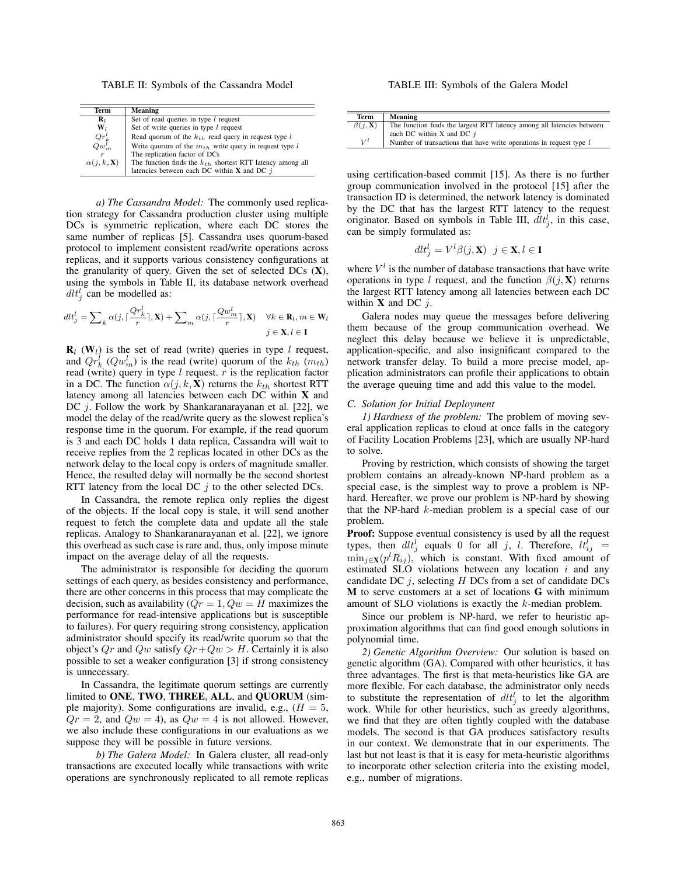TABLE II: Symbols of the Cassandra Model

| Term                     | Meaning                                                        |
|--------------------------|----------------------------------------------------------------|
| $\mathbf{R}_{l}$         | Set of read queries in type $l$ request                        |
| $\mathbf{W}_l$           | Set of write queries in type $l$ request                       |
| $Qr_k^t$                 | Read quorum of the $k_{th}$ read query in request type l       |
| $Qw_m^l$                 | Write quorum of the $m_{th}$ write query in request type l     |
| r                        | The replication factor of DCs                                  |
| $\alpha(j,k,\mathbf{X})$ | The function finds the $k_{th}$ shortest RTT latency among all |
|                          | latencies between each DC within $X$ and DC $j$                |

*a) The Cassandra Model:* The commonly used replication strategy for Cassandra production cluster using multiple DCs is symmetric replication, where each DC stores the same number of replicas [5]. Cassandra uses quorum-based protocol to implement consistent read/write operations across replicas, and it supports various consistency configurations at the granularity of query. Given the set of selected DCs  $(X)$ , using the symbols in Table II, its database network overhead  $dlt_j^l$  can be modelled as:

$$
d\mathcal{U}_{j}^{l} = \sum_{k} \alpha(j, \lceil \frac{\mathcal{Q}r_{k}^{l}}{r} \rceil, \mathbf{X}) + \sum_{m} \alpha(j, \lceil \frac{\mathcal{Q}w_{m}^{l}}{r} \rceil, \mathbf{X}) \quad \forall k \in \mathbf{R}_{l}, m \in \mathbf{W}_{l}
$$

$$
j \in \mathbf{X}, l \in \mathbf{I}
$$

 $\mathbf{R}_l$  (W<sub>l</sub>) is the set of read (write) queries in type *l* request, and  $Qr_k^l$  ( $Qw_m^l$ ) is the read (write) quorum of the  $k_{th}$  ( $m_{th}$ ) read (write) query in type *l* request. *r* is the replication factor in a DC. The function  $\alpha(j, k, \mathbf{X})$  returns the  $k_{th}$  shortest RTT latency among all latencies between each DC within X and DC *j*. Follow the work by Shankaranarayanan et al. [22], we model the delay of the read/write query as the slowest replica's response time in the quorum. For example, if the read quorum is 3 and each DC holds 1 data replica, Cassandra will wait to receive replies from the 2 replicas located in other DCs as the network delay to the local copy is orders of magnitude smaller. Hence, the resulted delay will normally be the second shortest RTT latency from the local DC *j* to the other selected DCs.

In Cassandra, the remote replica only replies the digest of the objects. If the local copy is stale, it will send another request to fetch the complete data and update all the stale replicas. Analogy to Shankaranarayanan et al. [22], we ignore this overhead as such case is rare and, thus, only impose minute impact on the average delay of all the requests.

The administrator is responsible for deciding the quorum settings of each query, as besides consistency and performance, there are other concerns in this process that may complicate the decision, such as availability  $(Qr = 1, Qw = H$  maximizes the performance for read-intensive applications but is susceptible to failures). For query requiring strong consistency, application administrator should specify its read/write quorum so that the object's  $Qr$  and  $Qw$  satisfy  $Qr+Qw > H$ . Certainly it is also possible to set a weaker configuration [3] if strong consistency is unnecessary.

In Cassandra, the legitimate quorum settings are currently limited to ONE, TWO, THREE, ALL, and QUORUM (simple majority). Some configurations are invalid, e.g.,  $(H = 5$ ,  $Qr = 2$ , and  $Qw = 4$ ), as  $Qw = 4$  is not allowed. However, we also include these configurations in our evaluations as we suppose they will be possible in future versions.

*b) The Galera Model:* In Galera cluster, all read-only transactions are executed locally while transactions with write operations are synchronously replicated to all remote replicas

TABLE III: Symbols of the Galera Model

| Term             | <b>Meaning</b>                                                         |
|------------------|------------------------------------------------------------------------|
| $\beta(i, X)$    | The function finds the largest RTT latency among all latencies between |
|                  | each DC within X and DC $i$                                            |
| $\mathbf{v}^{l}$ | Number of transactions that have write operations in request type $l$  |

using certification-based commit [15]. As there is no further group communication involved in the protocol [15] after the transaction ID is determined, the network latency is dominated by the DC that has the largest RTT latency to the request originator. Based on symbols in Table III,  $d\mathcal{U}_j^1$ , in this case, can be simply formulated as:

$$
dlt_j^l = V^l \beta(j, \mathbf{X}) \ \ j \in \mathbf{X}, l \in \mathbf{I}
$$

where  $V^l$  is the number of database transactions that have write operations in type *l* request, and the function  $\beta(j, \mathbf{X})$  returns the largest RTT latency among all latencies between each DC within X and DC *j*.

Galera nodes may queue the messages before delivering them because of the group communication overhead. We neglect this delay because we believe it is unpredictable, application-specific, and also insignificant compared to the network transfer delay. To build a more precise model, application administrators can profile their applications to obtain the average queuing time and add this value to the model.

## *C. Solution for Initial Deployment*

*1) Hardness of the problem:* The problem of moving several application replicas to cloud at once falls in the category of Facility Location Problems [23], which are usually NP-hard to solve.

Proving by restriction, which consists of showing the target problem contains an already-known NP-hard problem as a special case, is the simplest way to prove a problem is NPhard. Hereafter, we prove our problem is NP-hard by showing that the NP-hard *k*-median problem is a special case of our problem.

Proof: Suppose eventual consistency is used by all the request types, then  $dlt_j^l$  equals 0 for all *j*, *l*. Therefore,  $lt_{ij}^{l}$  =  $\min_{j \in \mathbf{X}} (p^l R_{ij})$ , which is constant. With fixed amount of estimated SLO violations between any location *i* and any candidate DC *j*, selecting *H* DCs from a set of candidate DCs M to serve customers at a set of locations G with minimum amount of SLO violations is exactly the *k*-median problem.

Since our problem is NP-hard, we refer to heuristic approximation algorithms that can find good enough solutions in polynomial time.

*2) Genetic Algorithm Overview:* Our solution is based on genetic algorithm (GA). Compared with other heuristics, it has three advantages. The first is that meta-heuristics like GA are more flexible. For each database, the administrator only needs to substitute the representation of  $dlt_j^l$  to let the algorithm work. While for other heuristics, such as greedy algorithms, we find that they are often tightly coupled with the database models. The second is that GA produces satisfactory results in our context. We demonstrate that in our experiments. The last but not least is that it is easy for meta-heuristic algorithms to incorporate other selection criteria into the existing model, e.g., number of migrations.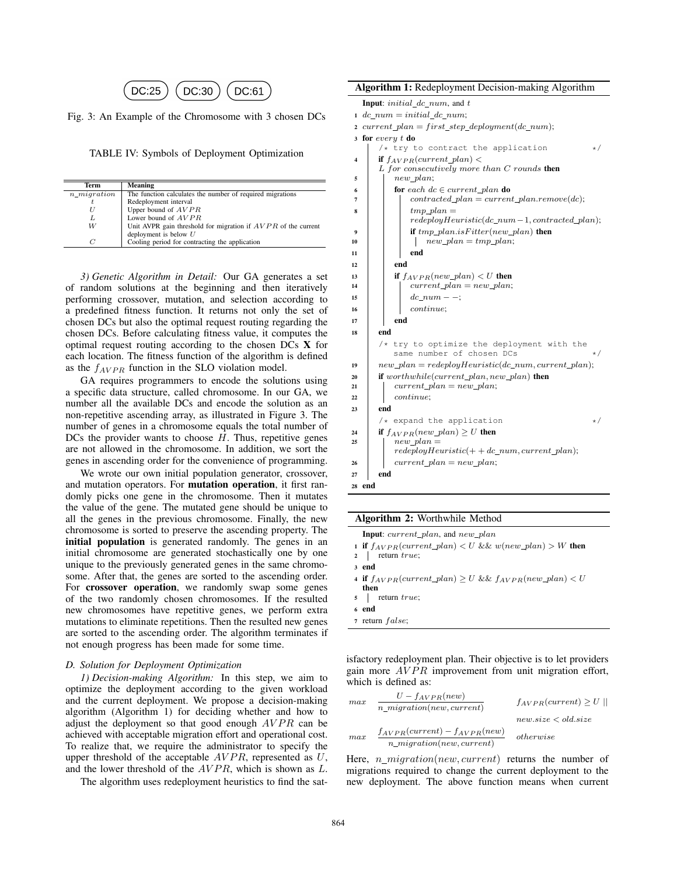

Fig. 3: An Example of the Chromosome with 3 chosen DCs

TABLE IV: Symbols of Deployment Optimization

| Term           | Meaning                                                         |
|----------------|-----------------------------------------------------------------|
| $n\_migration$ | The function calculates the number of required migrations       |
| t              | Redeployment interval                                           |
|                | Upper bound of $AVPR$                                           |
| L              | Lower bound of AVPR                                             |
| W              | Unit AVPR gain threshold for migration if $AVPR$ of the current |
|                | deployment is below $U$                                         |
| C              | Cooling period for contracting the application                  |

*3) Genetic Algorithm in Detail:* Our GA generates a set of random solutions at the beginning and then iteratively performing crossover, mutation, and selection according to a predefined fitness function. It returns not only the set of chosen DCs but also the optimal request routing regarding the chosen DCs. Before calculating fitness value, it computes the optimal request routing according to the chosen DCs X for each location. The fitness function of the algorithm is defined as the  $f_{AVPR}$  function in the SLO violation model.

GA requires programmers to encode the solutions using a specific data structure, called chromosome. In our GA, we number all the available DCs and encode the solution as an non-repetitive ascending array, as illustrated in Figure 3. The number of genes in a chromosome equals the total number of DCs the provider wants to choose *H*. Thus, repetitive genes are not allowed in the chromosome. In addition, we sort the genes in ascending order for the convenience of programming.

We wrote our own initial population generator, crossover, and mutation operators. For mutation operation, it first randomly picks one gene in the chromosome. Then it mutates the value of the gene. The mutated gene should be unique to all the genes in the previous chromosome. Finally, the new chromosome is sorted to preserve the ascending property. The initial population is generated randomly. The genes in an initial chromosome are generated stochastically one by one unique to the previously generated genes in the same chromosome. After that, the genes are sorted to the ascending order. For crossover operation, we randomly swap some genes of the two randomly chosen chromosomes. If the resulted new chromosomes have repetitive genes, we perform extra mutations to eliminate repetitions. Then the resulted new genes are sorted to the ascending order. The algorithm terminates if not enough progress has been made for some time.

#### *D. Solution for Deployment Optimization*

*1) Decision-making Algorithm:* In this step, we aim to optimize the deployment according to the given workload and the current deployment. We propose a decision-making algorithm (Algorithm 1) for deciding whether and how to adjust the deployment so that good enough *AVPR* can be achieved with acceptable migration effort and operational cost. To realize that, we require the administrator to specify the upper threshold of the acceptable *AV P R*, represented as *U*, and the lower threshold of the *AV P R*, which is shown as *L*.

The algorithm uses redeployment heuristics to find the sat-

| <b>Algorithm 1: Redeployment Decision-making Algorithm</b>                                  |  |  |  |
|---------------------------------------------------------------------------------------------|--|--|--|
| <b>Input:</b> $initial\_dc\_num$ , and t                                                    |  |  |  |
| $1 \ dc_{num} = initial\_dc_{num};$                                                         |  |  |  |
| 2 current_plan = first_step_deployment(dc_num);                                             |  |  |  |
| 3 for every $t$ do                                                                          |  |  |  |
| $/*$ try to contract the application<br>$\star/$                                            |  |  |  |
| <b>if</b> $f_{AVPR}(current\_plan)$<br>4<br>$L$ for consecutively more than $C$ rounds then |  |  |  |
| new plan;<br>5                                                                              |  |  |  |
| for each $dc \in current\_plan$ do<br>6                                                     |  |  |  |
| $contracted\_plan = current\_plan.remove(dc);$<br>7                                         |  |  |  |
| $tmp$ plan $=$<br>8                                                                         |  |  |  |
| $redeploy Heuristic(dc\_num-1, contracted\_plan);$                                          |  |  |  |
| if $tmp\_plan.isFilter(new\_plan)$ then<br>9<br>$new\_plan = tmp\_plan;$                    |  |  |  |
| 10<br>end<br>11                                                                             |  |  |  |
| end<br>12                                                                                   |  |  |  |
| if $f_{AVPR}(new\_plan) < U$ then<br>13                                                     |  |  |  |
| $current\_plan = new\_plan;$<br>14                                                          |  |  |  |
| $dc num - -$<br>15                                                                          |  |  |  |
| continue;<br>16                                                                             |  |  |  |
| end<br>17                                                                                   |  |  |  |
| end<br>18                                                                                   |  |  |  |
| try to optimize the deployment with the<br>$/*$<br>same number of chosen DCs<br>$\star/$    |  |  |  |
| $new\_plan = redeployHeuristic(dc\_num, current\_plan);$<br>19                              |  |  |  |
| <b>if</b> worthwhile(current_plan, new_plan) <b>then</b><br>20                              |  |  |  |
| $current\_plan = new\_plan;$<br>21                                                          |  |  |  |
| continue;<br>22                                                                             |  |  |  |
| end<br>23                                                                                   |  |  |  |
| $/*$ expand the application<br>$\star/$                                                     |  |  |  |
| if $f_{AVPR}(new\_plan) \geq U$ then<br>24<br>$new\_plan =$<br>25                           |  |  |  |
| $redeploy Heuristic(+ + dc_number, current\_plan);$                                         |  |  |  |
| $current\_plan = new\_plan;$<br>26                                                          |  |  |  |
| end<br>27                                                                                   |  |  |  |
| end<br>28                                                                                   |  |  |  |

| Algorithm 2: Worthwhile Method |  |  |
|--------------------------------|--|--|
|--------------------------------|--|--|

| <b>Input</b> : <i>current</i> plan, and <i>new</i> plan           |
|-------------------------------------------------------------------|
| 1 if $f_{AVPR}(current\_plan) < U$ && $w(new\_plan) > W$ then     |
| $2$ return <i>true</i> ;                                          |
| 3 end                                                             |
| 4 if $f_{AVPR}(current\_plan) \ge U$ && $f_{AVPR}(new\_plan) < U$ |

- then
- <sup>5</sup> return *true*; <sup>6</sup> end
- <sup>7</sup> return *false*;

isfactory redeployment plan. Their objective is to let providers gain more *AVPR* improvement from unit migration effort, which is defined as:

$$
\begin{aligned} \max \quad & \frac{U - f_{AVPR}(new)}{n\_migration(new, current)} & & f_{AVPR}(current) \ge U \mid \\ \max \quad & \frac{f_{AVPR}(current) - f_{AVPR}(new)}{n\_migration(new, current)} & & otherwise \end{aligned}
$$

Here, *n migration*(*new, current*) returns the number of migrations required to change the current deployment to the new deployment. The above function means when current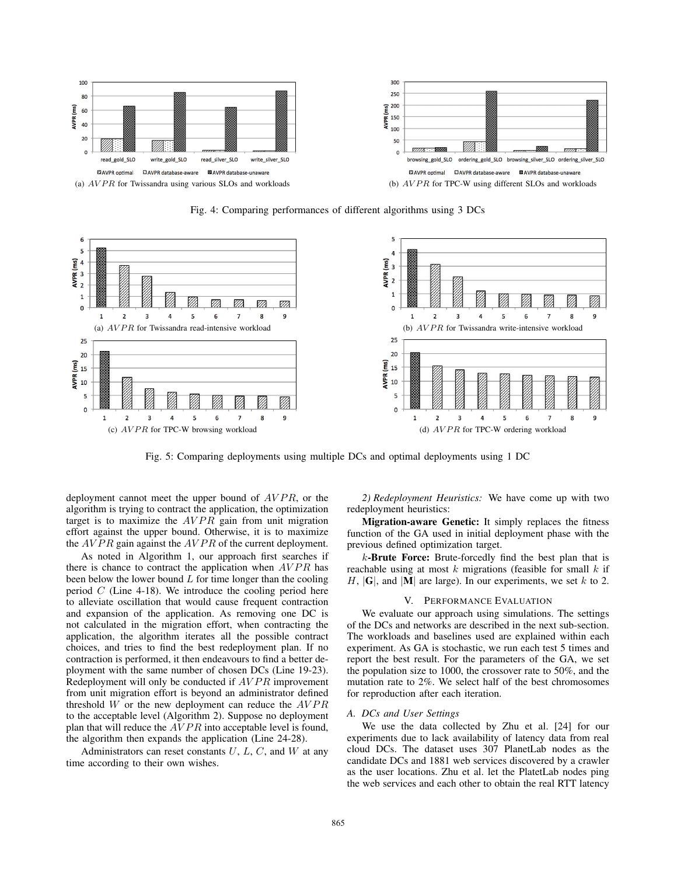

6 5 5  $\overline{a}$  $AVPR(ms)$ <br> $\approx$   $\approx$   $\approx$  $\overline{E}$ <sub>3</sub> **AVPR**  $\overline{2}$  $\mathbf{1}$  $\mathbf{1}$ ØÀ V) m m  $\overline{0}$  $\mathbf 0$  $\overline{a}$ 5  $\overline{7}$ 5 6  $\overline{7}$ 8  $\mathbf{1}$  $\overline{2}$  $\overline{3}$ 6 8 9  $\mathbf{1}$  $\overline{2}$  $\overline{\mathbf{3}}$  $\overline{4}$ (a) *AV P R* for Twissandra read-intensive workload (b) *AV P R* for Twissandra write-intensive workload  $25$  $25$ 20 20  $\frac{1}{2}$ <br> $\frac{15}{4}$ <br> $\frac{10}{10}$  $\overline{E}$  15 AVPR I 5 5  $\Omega$  $\overline{0}$  $\overline{2}$  $\overline{3}$  $\overline{a}$ 5 6 8 9  $\overline{2}$  $\overline{3}$ 5 (c) *AVPR* for TPC-W browsing workload (d) *AVPR* for TPC-W ordering workload

Fig. 4: Comparing performances of different algorithms using 3 DCs

Fig. 5: Comparing deployments using multiple DCs and optimal deployments using 1 DC

deployment cannot meet the upper bound of  $AVPR$ , or the algorithm is trying to contract the application, the optimization target is to maximize the *AVPR* gain from unit migration effort against the upper bound. Otherwise, it is to maximize the *AV P R* gain against the *AV P R* of the current deployment.

As noted in Algorithm 1, our approach first searches if there is chance to contract the application when *AV P R* has been below the lower bound *L* for time longer than the cooling period *C* (Line 4-18). We introduce the cooling period here to alleviate oscillation that would cause frequent contraction and expansion of the application. As removing one DC is not calculated in the migration effort, when contracting the application, the algorithm iterates all the possible contract choices, and tries to find the best redeployment plan. If no contraction is performed, it then endeavours to find a better deployment with the same number of chosen DCs (Line 19-23). Redeployment will only be conducted if *AV P R* improvement from unit migration effort is beyond an administrator defined threshold *W* or the new deployment can reduce the *AV P R* to the acceptable level (Algorithm 2). Suppose no deployment plan that will reduce the *AVPR* into acceptable level is found, the algorithm then expands the application (Line 24-28).

Administrators can reset constants *U*, *L*, *C*, and *W* at any time according to their own wishes.

*2) Redeployment Heuristics:* We have come up with two redeployment heuristics:

ØÃ

 $\overline{9}$ 

9

Migration-aware Genetic: It simply replaces the fitness function of the GA used in initial deployment phase with the previous defined optimization target.

*k*-Brute Force: Brute-forcedly find the best plan that is reachable using at most *k* migrations (feasible for small *k* if  $H$ ,  $|G|$ , and  $|M|$  are large). In our experiments, we set *k* to 2.

#### V. PERFORMANCE EVALUATION

We evaluate our approach using simulations. The settings of the DCs and networks are described in the next sub-section. The workloads and baselines used are explained within each experiment. As GA is stochastic, we run each test 5 times and report the best result. For the parameters of the GA, we set the population size to 1000, the crossover rate to 50%, and the mutation rate to 2%. We select half of the best chromosomes for reproduction after each iteration.

## *A. DCs and User Settings*

We use the data collected by Zhu et al. [24] for our experiments due to lack availability of latency data from real cloud DCs. The dataset uses 307 PlanetLab nodes as the candidate DCs and 1881 web services discovered by a crawler as the user locations. Zhu et al. let the PlatetLab nodes ping the web services and each other to obtain the real RTT latency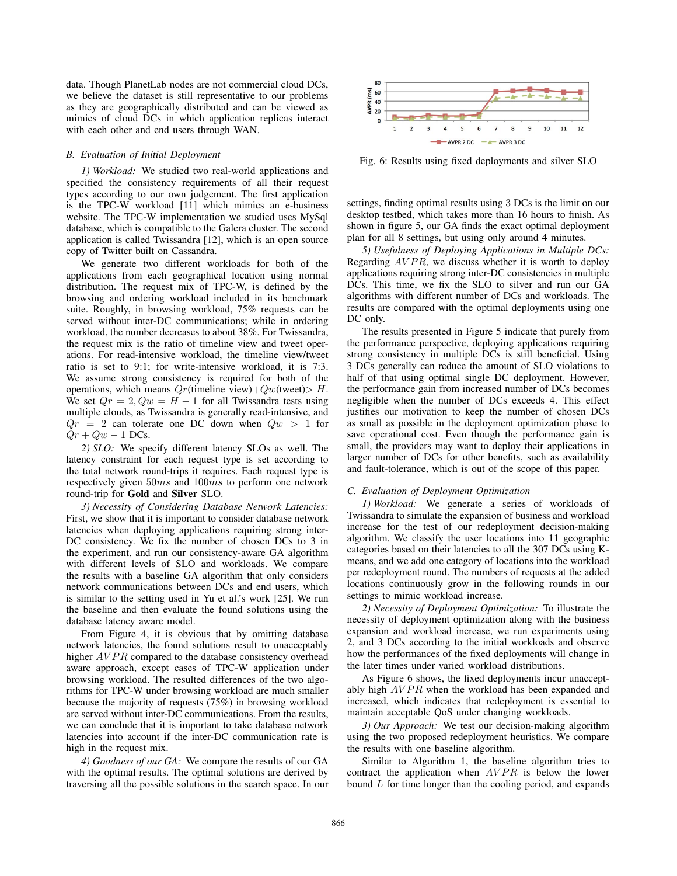data. Though PlanetLab nodes are not commercial cloud DCs, we believe the dataset is still representative to our problems as they are geographically distributed and can be viewed as mimics of cloud DCs in which application replicas interact with each other and end users through WAN.

#### *B. Evaluation of Initial Deployment*

*1) Workload:* We studied two real-world applications and specified the consistency requirements of all their request types according to our own judgement. The first application is the TPC-W workload [11] which mimics an e-business website. The TPC-W implementation we studied uses MySql database, which is compatible to the Galera cluster. The second application is called Twissandra [12], which is an open source copy of Twitter built on Cassandra.

We generate two different workloads for both of the applications from each geographical location using normal distribution. The request mix of TPC-W, is defined by the browsing and ordering workload included in its benchmark suite. Roughly, in browsing workload, 75% requests can be served without inter-DC communications; while in ordering workload, the number decreases to about 38%. For Twissandra, the request mix is the ratio of timeline view and tweet operations. For read-intensive workload, the timeline view/tweet ratio is set to 9:1; for write-intensive workload, it is 7:3. We assume strong consistency is required for both of the operations, which means *Qr*(timeline view)+*Qw*(tweet)*> H*. We set  $Qr = 2$ ,  $Qw = H - 1$  for all Twissandra tests using multiple clouds, as Twissandra is generally read-intensive, and  $Qr = 2$  can tolerate one DC down when  $Qw > 1$  for  $Qr + Qw - 1$  DCs.

*2) SLO:* We specify different latency SLOs as well. The latency constraint for each request type is set according to the total network round-trips it requires. Each request type is respectively given 50*ms* and 100*ms* to perform one network round-trip for Gold and Silver SLO.

*3) Necessity of Considering Database Network Latencies:* First, we show that it is important to consider database network latencies when deploying applications requiring strong inter-DC consistency. We fix the number of chosen DCs to 3 in the experiment, and run our consistency-aware GA algorithm with different levels of SLO and workloads. We compare the results with a baseline GA algorithm that only considers network communications between DCs and end users, which is similar to the setting used in Yu et al.'s work [25]. We run the baseline and then evaluate the found solutions using the database latency aware model.

From Figure 4, it is obvious that by omitting database network latencies, the found solutions result to unacceptably higher *AVPR* compared to the database consistency overhead aware approach, except cases of TPC-W application under browsing workload. The resulted differences of the two algorithms for TPC-W under browsing workload are much smaller because the majority of requests (75%) in browsing workload are served without inter-DC communications. From the results, we can conclude that it is important to take database network latencies into account if the inter-DC communication rate is high in the request mix.

*4) Goodness of our GA:* We compare the results of our GA with the optimal results. The optimal solutions are derived by traversing all the possible solutions in the search space. In our



Fig. 6: Results using fixed deployments and silver SLO

settings, finding optimal results using 3 DCs is the limit on our desktop testbed, which takes more than 16 hours to finish. As shown in figure 5, our GA finds the exact optimal deployment plan for all 8 settings, but using only around 4 minutes.

*5) Usefulness of Deploying Applications in Multiple DCs:* Regarding *AVPR*, we discuss whether it is worth to deploy applications requiring strong inter-DC consistencies in multiple DCs. This time, we fix the SLO to silver and run our GA algorithms with different number of DCs and workloads. The results are compared with the optimal deployments using one DC only.

The results presented in Figure 5 indicate that purely from the performance perspective, deploying applications requiring strong consistency in multiple DCs is still beneficial. Using 3 DCs generally can reduce the amount of SLO violations to half of that using optimal single DC deployment. However, the performance gain from increased number of DCs becomes negligible when the number of DCs exceeds 4. This effect justifies our motivation to keep the number of chosen DCs as small as possible in the deployment optimization phase to save operational cost. Even though the performance gain is small, the providers may want to deploy their applications in larger number of DCs for other benefits, such as availability and fault-tolerance, which is out of the scope of this paper.

# *C. Evaluation of Deployment Optimization*

*1) Workload:* We generate a series of workloads of Twissandra to simulate the expansion of business and workload increase for the test of our redeployment decision-making algorithm. We classify the user locations into 11 geographic categories based on their latencies to all the 307 DCs using Kmeans, and we add one category of locations into the workload per redeployment round. The numbers of requests at the added locations continuously grow in the following rounds in our settings to mimic workload increase.

*2) Necessity of Deployment Optimization:* To illustrate the necessity of deployment optimization along with the business expansion and workload increase, we run experiments using 2, and 3 DCs according to the initial workloads and observe how the performances of the fixed deployments will change in the later times under varied workload distributions.

As Figure 6 shows, the fixed deployments incur unacceptably high  $AVPR$  when the workload has been expanded and increased, which indicates that redeployment is essential to maintain acceptable QoS under changing workloads.

*3) Our Approach:* We test our decision-making algorithm using the two proposed redeployment heuristics. We compare the results with one baseline algorithm.

Similar to Algorithm 1, the baseline algorithm tries to contract the application when  $AVPR$  is below the lower bound *L* for time longer than the cooling period, and expands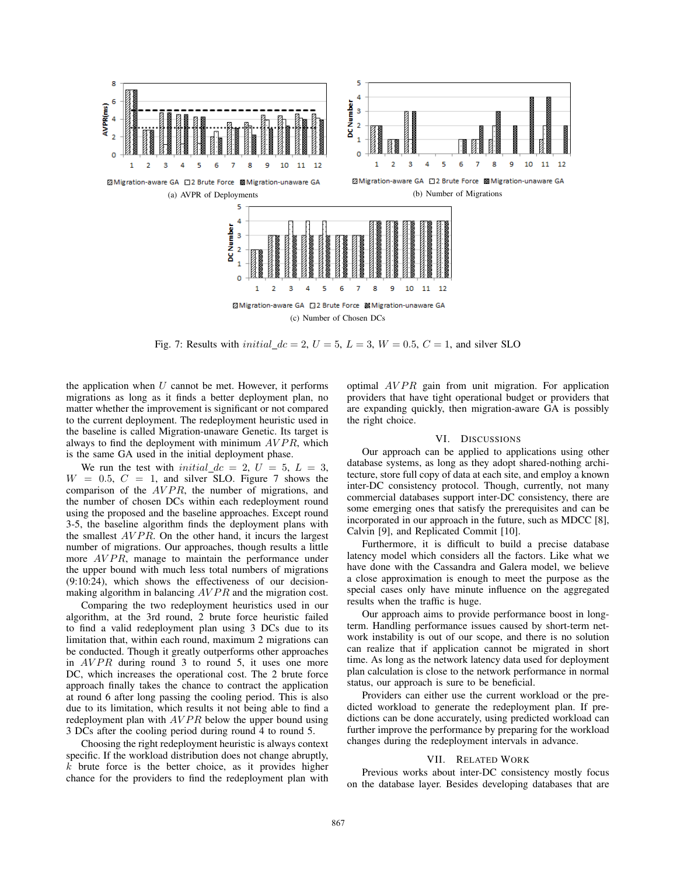

Fig. 7: Results with *initial*  $dc = 2$ ,  $U = 5$ ,  $L = 3$ ,  $W = 0.5$ ,  $C = 1$ , and silver SLO

the application when *U* cannot be met. However, it performs migrations as long as it finds a better deployment plan, no matter whether the improvement is significant or not compared to the current deployment. The redeployment heuristic used in the baseline is called Migration-unaware Genetic. Its target is always to find the deployment with minimum  $AVPR$ , which is the same GA used in the initial deployment phase.

We run the test with *initial*  $dc = 2$ ,  $U = 5$ ,  $L = 3$ ,  $W = 0.5, C = 1$ , and silver SLO. Figure 7 shows the comparison of the *AV P R*, the number of migrations, and the number of chosen DCs within each redeployment round using the proposed and the baseline approaches. Except round 3-5, the baseline algorithm finds the deployment plans with the smallest *AV P R*. On the other hand, it incurs the largest number of migrations. Our approaches, though results a little more *AVPR*, manage to maintain the performance under the upper bound with much less total numbers of migrations (9:10:24), which shows the effectiveness of our decisionmaking algorithm in balancing *AVPR* and the migration cost.

Comparing the two redeployment heuristics used in our algorithm, at the 3rd round, 2 brute force heuristic failed to find a valid redeployment plan using 3 DCs due to its limitation that, within each round, maximum 2 migrations can be conducted. Though it greatly outperforms other approaches in *AVPR* during round 3 to round 5, it uses one more DC, which increases the operational cost. The 2 brute force approach finally takes the chance to contract the application at round 6 after long passing the cooling period. This is also due to its limitation, which results it not being able to find a redeployment plan with *AVPR* below the upper bound using 3 DCs after the cooling period during round 4 to round 5.

Choosing the right redeployment heuristic is always context specific. If the workload distribution does not change abruptly, *k* brute force is the better choice, as it provides higher chance for the providers to find the redeployment plan with optimal *AVPR* gain from unit migration. For application providers that have tight operational budget or providers that are expanding quickly, then migration-aware GA is possibly the right choice.

# VI. DISCUSSIONS

Our approach can be applied to applications using other database systems, as long as they adopt shared-nothing architecture, store full copy of data at each site, and employ a known inter-DC consistency protocol. Though, currently, not many commercial databases support inter-DC consistency, there are some emerging ones that satisfy the prerequisites and can be incorporated in our approach in the future, such as MDCC [8], Calvin [9], and Replicated Commit [10].

Furthermore, it is difficult to build a precise database latency model which considers all the factors. Like what we have done with the Cassandra and Galera model, we believe a close approximation is enough to meet the purpose as the special cases only have minute influence on the aggregated results when the traffic is huge.

Our approach aims to provide performance boost in longterm. Handling performance issues caused by short-term network instability is out of our scope, and there is no solution can realize that if application cannot be migrated in short time. As long as the network latency data used for deployment plan calculation is close to the network performance in normal status, our approach is sure to be beneficial.

Providers can either use the current workload or the predicted workload to generate the redeployment plan. If predictions can be done accurately, using predicted workload can further improve the performance by preparing for the workload changes during the redeployment intervals in advance.

# VII. RELATED WORK

Previous works about inter-DC consistency mostly focus on the database layer. Besides developing databases that are